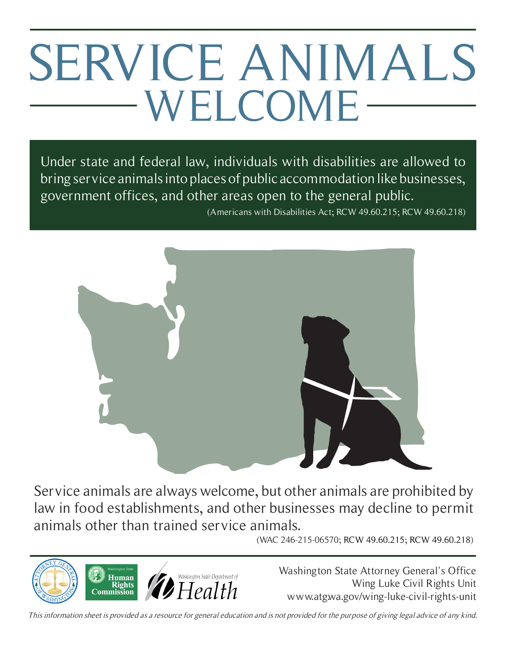# SERVICE ANIMALS WELCOME

Under state and federal law, individuals with disabilities are allowed to bring service animals into places of public accommodation like businesses, government offices, and other areas open to the general public.

(Americans with Disabilities Act; RCW 49.60.215; RCW 49.60.218)



Service animals are always welcome, but other animals are prohibited by law in food establishments, and other businesses may decline to permit animals other than trained service animals.

(WAC 246-215-06570; RCW 49.60.215; RCW 49.60.218)



Washington State Attorney General's Office Wing Luke Civil Rights Unit www.atg.wa.gov/wing-luke-civil-rights-unit

This information sheet is provided as a resource for general education and is not provided for the purpose of giving legal advice of any kind.